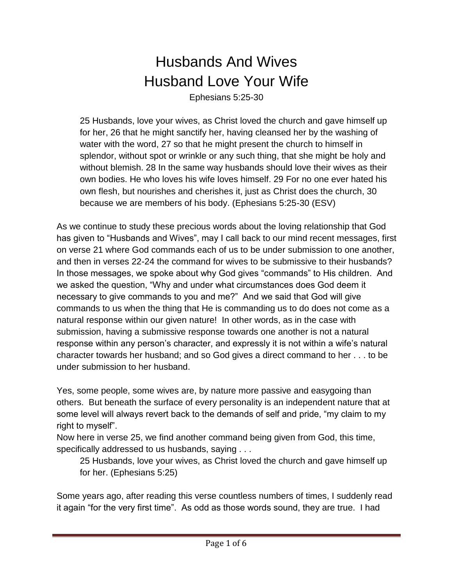## Husbands And Wives Husband Love Your Wife

Ephesians 5:25-30

25 Husbands, love your wives, as Christ loved the church and gave himself up for her, 26 that he might sanctify her, having cleansed her by the washing of water with the word, 27 so that he might present the church to himself in splendor, without spot or wrinkle or any such thing, that she might be holy and without blemish. 28 In the same way husbands should love their wives as their own bodies. He who loves his wife loves himself. 29 For no one ever hated his own flesh, but nourishes and cherishes it, just as Christ does the church, 30 because we are members of his body. (Ephesians 5:25-30 (ESV)

As we continue to study these precious words about the loving relationship that God has given to "Husbands and Wives", may I call back to our mind recent messages, first on verse 21 where God commands each of us to be under submission to one another, and then in verses 22-24 the command for wives to be submissive to their husbands? In those messages, we spoke about why God gives "commands" to His children. And we asked the question, "Why and under what circumstances does God deem it necessary to give commands to you and me?" And we said that God will give commands to us when the thing that He is commanding us to do does not come as a natural response within our given nature! In other words, as in the case with submission, having a submissive response towards one another is not a natural response within any person's character, and expressly it is not within a wife's natural character towards her husband; and so God gives a direct command to her . . . to be under submission to her husband.

Yes, some people, some wives are, by nature more passive and easygoing than others. But beneath the surface of every personality is an independent nature that at some level will always revert back to the demands of self and pride, "my claim to my right to myself".

Now here in verse 25, we find another command being given from God, this time, specifically addressed to us husbands, saying . . .

25 Husbands, love your wives, as Christ loved the church and gave himself up for her. (Ephesians 5:25)

Some years ago, after reading this verse countless numbers of times, I suddenly read it again "for the very first time". As odd as those words sound, they are true. I had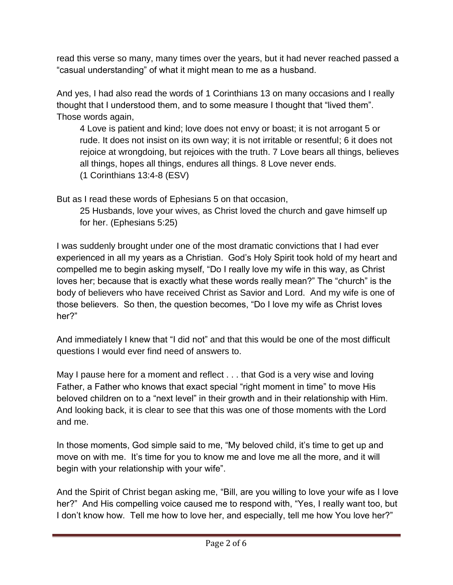read this verse so many, many times over the years, but it had never reached passed a "casual understanding" of what it might mean to me as a husband.

And yes, I had also read the words of 1 Corinthians 13 on many occasions and I really thought that I understood them, and to some measure I thought that "lived them". Those words again,

4 Love is patient and kind; love does not envy or boast; it is not arrogant 5 or rude. It does not insist on its own way; it is not irritable or resentful; 6 it does not rejoice at wrongdoing, but rejoices with the truth. 7 Love bears all things, believes all things, hopes all things, endures all things. 8 Love never ends. (1 Corinthians 13:4-8 (ESV)

But as I read these words of Ephesians 5 on that occasion,

25 Husbands, love your wives, as Christ loved the church and gave himself up for her. (Ephesians 5:25)

I was suddenly brought under one of the most dramatic convictions that I had ever experienced in all my years as a Christian. God's Holy Spirit took hold of my heart and compelled me to begin asking myself, "Do I really love my wife in this way, as Christ loves her; because that is exactly what these words really mean?" The "church" is the body of believers who have received Christ as Savior and Lord. And my wife is one of those believers. So then, the question becomes, "Do I love my wife as Christ loves her?"

And immediately I knew that "I did not" and that this would be one of the most difficult questions I would ever find need of answers to.

May I pause here for a moment and reflect . . . that God is a very wise and loving Father, a Father who knows that exact special "right moment in time" to move His beloved children on to a "next level" in their growth and in their relationship with Him. And looking back, it is clear to see that this was one of those moments with the Lord and me.

In those moments, God simple said to me, "My beloved child, it's time to get up and move on with me. It's time for you to know me and love me all the more, and it will begin with your relationship with your wife".

And the Spirit of Christ began asking me, "Bill, are you willing to love your wife as I love her?" And His compelling voice caused me to respond with, "Yes, I really want too, but I don't know how. Tell me how to love her, and especially, tell me how You love her?"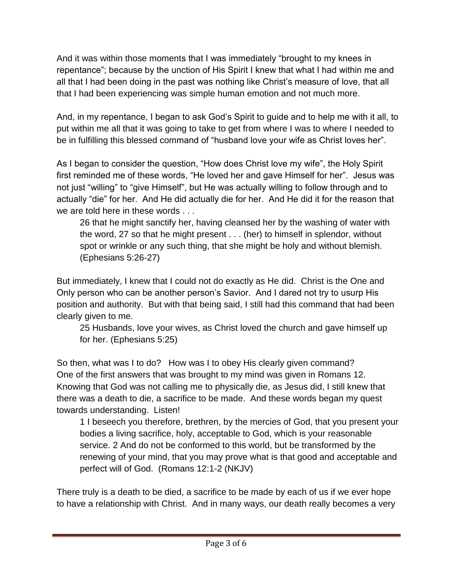And it was within those moments that I was immediately "brought to my knees in repentance"; because by the unction of His Spirit I knew that what I had within me and all that I had been doing in the past was nothing like Christ's measure of love, that all that I had been experiencing was simple human emotion and not much more.

And, in my repentance, I began to ask God's Spirit to guide and to help me with it all, to put within me all that it was going to take to get from where I was to where I needed to be in fulfilling this blessed command of "husband love your wife as Christ loves her".

As I began to consider the question, "How does Christ love my wife", the Holy Spirit first reminded me of these words, "He loved her and gave Himself for her". Jesus was not just "willing" to "give Himself", but He was actually willing to follow through and to actually "die" for her. And He did actually die for her. And He did it for the reason that we are told here in these words . . .

26 that he might sanctify her, having cleansed her by the washing of water with the word, 27 so that he might present . . . (her) to himself in splendor, without spot or wrinkle or any such thing, that she might be holy and without blemish. (Ephesians 5:26-27)

But immediately, I knew that I could not do exactly as He did. Christ is the One and Only person who can be another person's Savior. And I dared not try to usurp His position and authority. But with that being said, I still had this command that had been clearly given to me.

25 Husbands, love your wives, as Christ loved the church and gave himself up for her. (Ephesians 5:25)

So then, what was I to do? How was I to obey His clearly given command? One of the first answers that was brought to my mind was given in Romans 12. Knowing that God was not calling me to physically die, as Jesus did, I still knew that there was a death to die, a sacrifice to be made. And these words began my quest towards understanding. Listen!

1 I beseech you therefore, brethren, by the mercies of God, that you present your bodies a living sacrifice, holy, acceptable to God, which is your reasonable service. 2 And do not be conformed to this world, but be transformed by the renewing of your mind, that you may prove what is that good and acceptable and perfect will of God. (Romans 12:1-2 (NKJV)

There truly is a death to be died, a sacrifice to be made by each of us if we ever hope to have a relationship with Christ. And in many ways, our death really becomes a very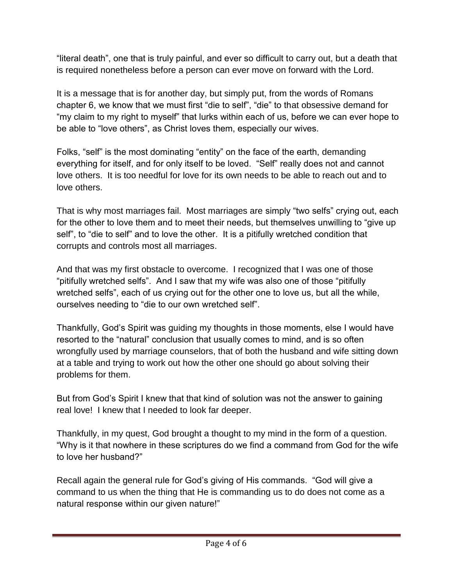"literal death", one that is truly painful, and ever so difficult to carry out, but a death that is required nonetheless before a person can ever move on forward with the Lord.

It is a message that is for another day, but simply put, from the words of Romans chapter 6, we know that we must first "die to self", "die" to that obsessive demand for "my claim to my right to myself" that lurks within each of us, before we can ever hope to be able to "love others", as Christ loves them, especially our wives.

Folks, "self" is the most dominating "entity" on the face of the earth, demanding everything for itself, and for only itself to be loved. "Self" really does not and cannot love others. It is too needful for love for its own needs to be able to reach out and to love others.

That is why most marriages fail. Most marriages are simply "two selfs" crying out, each for the other to love them and to meet their needs, but themselves unwilling to "give up self", to "die to self" and to love the other. It is a pitifully wretched condition that corrupts and controls most all marriages.

And that was my first obstacle to overcome. I recognized that I was one of those "pitifully wretched selfs". And I saw that my wife was also one of those "pitifully wretched selfs", each of us crying out for the other one to love us, but all the while, ourselves needing to "die to our own wretched self".

Thankfully, God's Spirit was guiding my thoughts in those moments, else I would have resorted to the "natural" conclusion that usually comes to mind, and is so often wrongfully used by marriage counselors, that of both the husband and wife sitting down at a table and trying to work out how the other one should go about solving their problems for them.

But from God's Spirit I knew that that kind of solution was not the answer to gaining real love! I knew that I needed to look far deeper.

Thankfully, in my quest, God brought a thought to my mind in the form of a question. "Why is it that nowhere in these scriptures do we find a command from God for the wife to love her husband?"

Recall again the general rule for God's giving of His commands. "God will give a command to us when the thing that He is commanding us to do does not come as a natural response within our given nature!"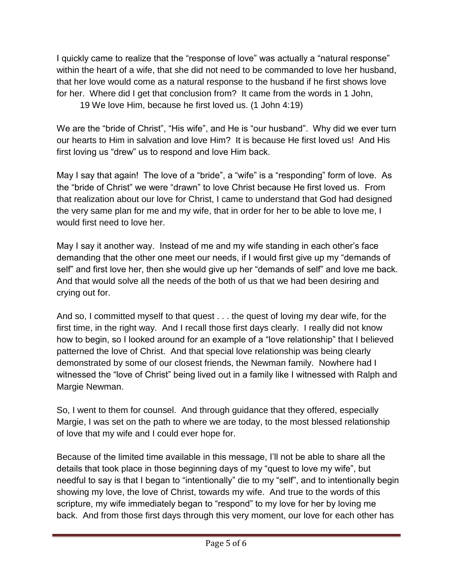I quickly came to realize that the "response of love" was actually a "natural response" within the heart of a wife, that she did not need to be commanded to love her husband, that her love would come as a natural response to the husband if he first shows love for her. Where did I get that conclusion from? It came from the words in 1 John,

19 We love Him, because he first loved us. (1 John 4:19)

We are the "bride of Christ", "His wife", and He is "our husband". Why did we ever turn our hearts to Him in salvation and love Him? It is because He first loved us! And His first loving us "drew" us to respond and love Him back.

May I say that again! The love of a "bride", a "wife" is a "responding" form of love. As the "bride of Christ" we were "drawn" to love Christ because He first loved us. From that realization about our love for Christ, I came to understand that God had designed the very same plan for me and my wife, that in order for her to be able to love me, I would first need to love her.

May I say it another way. Instead of me and my wife standing in each other's face demanding that the other one meet our needs, if I would first give up my "demands of self" and first love her, then she would give up her "demands of self" and love me back. And that would solve all the needs of the both of us that we had been desiring and crying out for.

And so, I committed myself to that quest . . . the quest of loving my dear wife, for the first time, in the right way. And I recall those first days clearly. I really did not know how to begin, so I looked around for an example of a "love relationship" that I believed patterned the love of Christ. And that special love relationship was being clearly demonstrated by some of our closest friends, the Newman family. Nowhere had I witnessed the "love of Christ" being lived out in a family like I witnessed with Ralph and Margie Newman.

So, I went to them for counsel. And through guidance that they offered, especially Margie, I was set on the path to where we are today, to the most blessed relationship of love that my wife and I could ever hope for.

Because of the limited time available in this message, I'll not be able to share all the details that took place in those beginning days of my "quest to love my wife", but needful to say is that I began to "intentionally" die to my "self", and to intentionally begin showing my love, the love of Christ, towards my wife. And true to the words of this scripture, my wife immediately began to "respond" to my love for her by loving me back. And from those first days through this very moment, our love for each other has